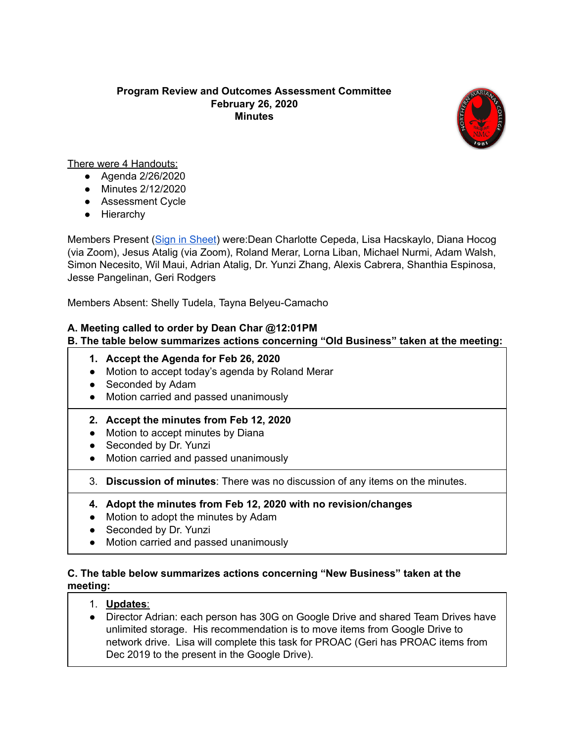#### **Program Review and Outcomes Assessment Committee February 26, 2020 Minutes**



There were 4 Handouts:

- Agenda 2/26/2020
- Minutes 2/12/2020
- Assessment Cycle
- Hierarchy

Members Present (Sign in [Sheet\)](https://drive.google.com/file/d/1TKTq-mbQXoOGAp88TV-vthQprTYwA-Cn/view?usp=sharing) were:Dean Charlotte Cepeda, Lisa Hacskaylo, Diana Hocog (via Zoom), Jesus Atalig (via Zoom), Roland Merar, Lorna Liban, Michael Nurmi, Adam Walsh, Simon Necesito, Wil Maui, Adrian Atalig, Dr. Yunzi Zhang, Alexis Cabrera, Shanthia Espinosa, Jesse Pangelinan, Geri Rodgers

Members Absent: Shelly Tudela, Tayna Belyeu-Camacho

# **A. Meeting called to order by Dean Char @12:01PM**

# **B. The table below summarizes actions concerning "Old Business" taken at the meeting:**

- **1. Accept the Agenda for Feb 26, 2020**
- Motion to accept today's agenda by Roland Merar
- Seconded by Adam
- Motion carried and passed unanimously
- **2. Accept the minutes from Feb 12, 2020**
- Motion to accept minutes by Diana
- Seconded by Dr. Yunzi
- Motion carried and passed unanimously
- 3. **Discussion of minutes**: There was no discussion of any items on the minutes.
- **4. Adopt the minutes from Feb 12, 2020 with no revision/changes**
- Motion to adopt the minutes by Adam
- Seconded by Dr. Yunzi
- Motion carried and passed unanimously

#### **C. The table below summarizes actions concerning "New Business" taken at the meeting:**

- 1. **Updates**:
- Director Adrian: each person has 30G on Google Drive and shared Team Drives have unlimited storage. His recommendation is to move items from Google Drive to network drive. Lisa will complete this task for PROAC (Geri has PROAC items from Dec 2019 to the present in the Google Drive).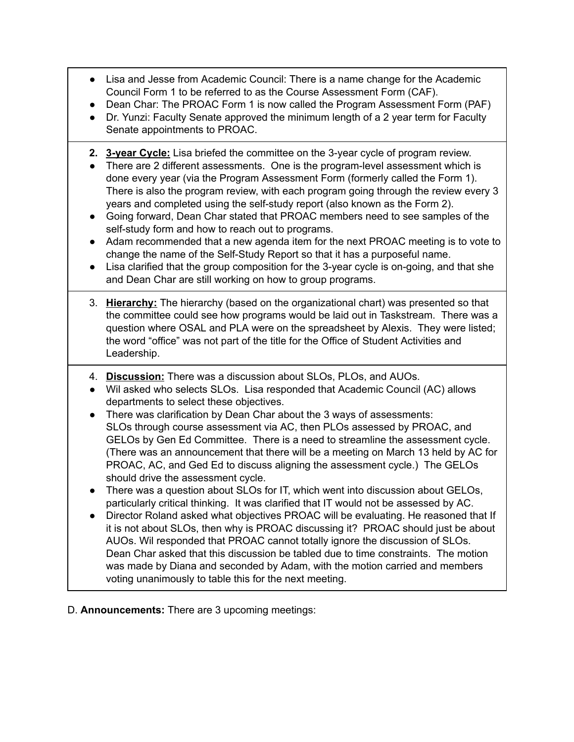- Lisa and Jesse from Academic Council: There is a name change for the Academic Council Form 1 to be referred to as the Course Assessment Form (CAF).
- Dean Char: The PROAC Form 1 is now called the Program Assessment Form (PAF)
- Dr. Yunzi: Faculty Senate approved the minimum length of a 2 year term for Faculty Senate appointments to PROAC.
- **2. 3-year Cycle:** Lisa briefed the committee on the 3-year cycle of program review.
- **●** There are 2 different assessments. One is the program-level assessment which is done every year (via the Program Assessment Form (formerly called the Form 1). There is also the program review, with each program going through the review every 3 years and completed using the self-study report (also known as the Form 2).
- Going forward, Dean Char stated that PROAC members need to see samples of the self-study form and how to reach out to programs.
- Adam recommended that a new agenda item for the next PROAC meeting is to vote to change the name of the Self-Study Report so that it has a purposeful name.
- Lisa clarified that the group composition for the 3-year cycle is on-going, and that she and Dean Char are still working on how to group programs.
- 3. **Hierarchy:** The hierarchy (based on the organizational chart) was presented so that the committee could see how programs would be laid out in Taskstream. There was a question where OSAL and PLA were on the spreadsheet by Alexis. They were listed; the word "office" was not part of the title for the Office of Student Activities and Leadership.
- 4. **Discussion:** There was a discussion about SLOs, PLOs, and AUOs.
- Wil asked who selects SLOs. Lisa responded that Academic Council (AC) allows departments to select these objectives.
- There was clarification by Dean Char about the 3 ways of assessments: SLOs through course assessment via AC, then PLOs assessed by PROAC, and GELOs by Gen Ed Committee. There is a need to streamline the assessment cycle. (There was an announcement that there will be a meeting on March 13 held by AC for PROAC, AC, and Ged Ed to discuss aligning the assessment cycle.) The GELOs should drive the assessment cycle.
- There was a question about SLOs for IT, which went into discussion about GELOs, particularly critical thinking. It was clarified that IT would not be assessed by AC.
- Director Roland asked what objectives PROAC will be evaluating. He reasoned that If it is not about SLOs, then why is PROAC discussing it? PROAC should just be about AUOs. Wil responded that PROAC cannot totally ignore the discussion of SLOs. Dean Char asked that this discussion be tabled due to time constraints. The motion was made by Diana and seconded by Adam, with the motion carried and members voting unanimously to table this for the next meeting.

D. **Announcements:** There are 3 upcoming meetings: